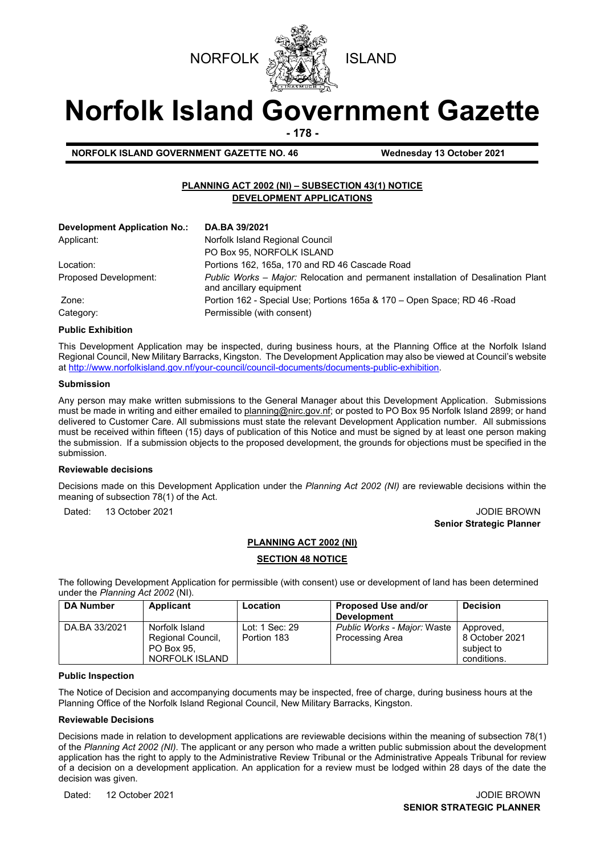



# **Norfolk Island Government Gazette**

**- 178 -**

**NORFOLK ISLAND GOVERNMENT GAZETTE NO. 46 Wednesday 13 October 2021** 

# **PLANNING ACT 2002 (NI) – SUBSECTION 43(1) NOTICE DEVELOPMENT APPLICATIONS**

| <b>Development Application No.:</b> | DA.BA 39/2021                                                                                                |
|-------------------------------------|--------------------------------------------------------------------------------------------------------------|
| Applicant:                          | Norfolk Island Regional Council                                                                              |
|                                     | PO Box 95, NORFOLK ISLAND                                                                                    |
| Location:                           | Portions 162, 165a, 170 and RD 46 Cascade Road                                                               |
| Proposed Development:               | Public Works - Major: Relocation and permanent installation of Desalination Plant<br>and ancillary equipment |
| Zone:                               | Portion 162 - Special Use; Portions 165a & 170 – Open Space; RD 46 - Road                                    |
| Category:                           | Permissible (with consent)                                                                                   |

# **Public Exhibition**

This Development Application may be inspected, during business hours, at the Planning Office at the Norfolk Island Regional Council, New Military Barracks, Kingston. The Development Application may also be viewed at Council's website a[t http://www.norfolkisland.gov.nf/your-council/council-documents/documents-public-exhibition.](http://www.norfolkisland.gov.nf/your-council/council-documents/documents-public-exhibition)

#### **Submission**

Any person may make written submissions to the General Manager about this Development Application. Submissions must be made in writing and either emailed t[o planning@nirc.gov.nf;](mailto:planning@nirc.gov.nf) or posted to PO Box 95 Norfolk Island 2899; or hand delivered to Customer Care. All submissions must state the relevant Development Application number. All submissions must be received within fifteen (15) days of publication of this Notice and must be signed by at least one person making the submission. If a submission objects to the proposed development, the grounds for objections must be specified in the submission.

## **Reviewable decisions**

Decisions made on this Development Application under the *Planning Act 2002 (NI)* are reviewable decisions within the meaning of subsection 78(1) of the Act.

Dated: 13 October 2021 **John Street Australian Street Australian Street Australian Street Australian Street Australian Street Australian Street Australian Street Australian Street Australian Street Australian Street Austra** 

**Senior Strategic Planner** 

## **PLANNING ACT 2002 (NI)**

# **SECTION 48 NOTICE**

The following Development Application for permissible (with consent) use or development of land has been determined under the *Planning Act 2002* (NI).

| <b>DA Number</b> | Applicant                                                           | Location                      | Proposed Use and/or<br><b>Development</b>      | <b>Decision</b>                                          |
|------------------|---------------------------------------------------------------------|-------------------------------|------------------------------------------------|----------------------------------------------------------|
| DA.BA 33/2021    | Norfolk Island<br>Regional Council,<br>PO Box 95.<br>NORFOLK ISLAND | Lot: 1 Sec: 29<br>Portion 183 | Public Works - Major: Waste<br>Processing Area | Approved,<br>8 October 2021<br>subject to<br>conditions. |

#### **Public Inspection**

The Notice of Decision and accompanying documents may be inspected, free of charge, during business hours at the Planning Office of the Norfolk Island Regional Council, New Military Barracks, Kingston.

## **Reviewable Decisions**

Decisions made in relation to development applications are reviewable decisions within the meaning of subsection 78(1) of the *Planning Act 2002 (NI).* The applicant or any person who made a written public submission about the development application has the right to apply to the Administrative Review Tribunal or the Administrative Appeals Tribunal for review of a decision on a development application. An application for a review must be lodged within 28 days of the date the decision was given.